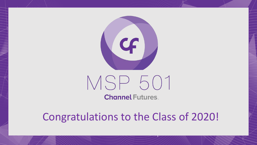

## MSP 501

**Channel Futures.** 

Congratulations to the Class of 2020!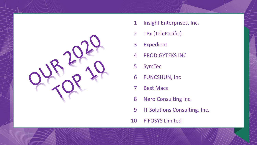

- 1 Insight Enterprises, Inc.
- TPx (TelePacific)
- Expedient
- PRODIGYTEKS INC
- SymTec
- FUNCSHUN, Inc
- Best Macs
- Nero Consulting Inc.
- 9 IT Solutions Consulting, Inc.
- FIFOSYS Limited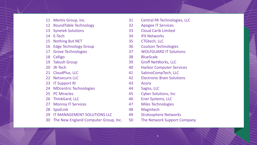- Mentis Group, Inc.
- RoundTable Technology
- Synetek Solutions
- E-Tech
- Nothing But NET
- Edge Technology Group
- Grove Technologies
- Calligo
- Tabush Group
- JR-Tech
- 21 CloudPlus, LLC
- 22 Netsecuris LLC
- 23 IT Support RI
- MDcentric Technologies
- PC Miracles
- ThinkGard, LLC
- Monroy IT Services
- SpotLink
- IT MANAGEMENT SOLUTIONS LLC
- The New England Computer Group, Inc.
- Central PA Technologies, LLC
- Apogee IT Services
- Cloud Carib Limited
- IFX Networks
- CTGtech, LLC
- Coulson Technologies
- WOLFGUARD IT Solutions
- BlueScale
- Groff NetWorks, LLC
- Harbor Computer Services
- SabinoCompTech, LLC
- Electronic Brain Solutions
- Acora
- Sagiss, LLC
- Cyber Solutions, Inc
- Ener Systems, LLC
- Miles Technologies
- Magnitech
- Stratosphere Networks
- The Network Support Company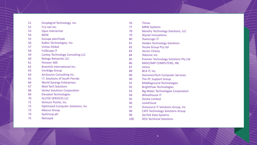| 51 | Simplegrid Technology Inc                | 76  |  |
|----|------------------------------------------|-----|--|
| 52 | F12.net Inc.                             | 77  |  |
| 53 | <b>Opus Interactive</b>                  | 78  |  |
| 54 | <b>NDSE</b>                              | 79  |  |
| 55 | Groupe plenITude                         | 80  |  |
| 56 | Kalleo Technologies, Inc.                | 81  |  |
| 57 | <b>Unitas Global</b>                     | 82  |  |
| 58 | <b>FullScope IT</b>                      | 83  |  |
| 59 | <b>Cantey Technology Consulting LLC</b>  | 84  |  |
| 60 | <b>Nology Networks LLC</b>               | 85  |  |
| 61 | Pioneer-360                              | 86  |  |
| 62 | Brainlink International Inc.             | 87  |  |
| 63 | <b>IronEdge Group</b>                    | 88  |  |
| 64 | ArcSource Consulting Inc.                | 89  |  |
| 65 | I.T. Solutions of South Florida          | 90  |  |
| 66 | <b>World Synergy Enterprises</b>         | 91  |  |
| 67 | <b>Med Tech Solutions</b>                | 92  |  |
| 68 | <b>Vertex Solutions Corporation</b>      | 93  |  |
| 69 | <b>Elevated Technologies</b>             | 94  |  |
| 70 | <b>ALLTEK SERVICES LLC</b>               | 95  |  |
| 71 | Venture Pointe, Inc.                     | 96  |  |
| 72 | <b>Optimized Computer Solutions, Inc</b> | 97  |  |
| 73 | <b>Abacus Group</b>                      | 98  |  |
| 74 | SysGroup plc                             | 99  |  |
| 75 | Netrepid                                 | 100 |  |
|    |                                          |     |  |

| 76  | <b>Thrive</b>                               |  |
|-----|---------------------------------------------|--|
| 77  | <b>MRW Systems</b>                          |  |
| 78  | <b>Mandry Technology Solutions, LLC</b>     |  |
| 79  | <b>Skynet Innovations</b>                   |  |
| 80  | <b>TeamLogic IT</b>                         |  |
| 81  | <b>Heiden Technology Solutions</b>          |  |
| 82  | <b>Tecala Group Pty Ltd</b>                 |  |
| 83  | <b>Vector Choice</b>                        |  |
| 84  | Tektonic Inc.                               |  |
| 85  | <b>Premier Technology Solutions Pty Ltd</b> |  |
| 86  | RADCOMP COMPUTERS, INC                      |  |
| 87  | <b>Intivix</b>                              |  |
| 88  | BCA IT, Inc.                                |  |
| 89  | <b>DominionTech Computer Services</b>       |  |
| 90  | The PC Support Group                        |  |
| 91  | Middleground Technologies                   |  |
| 92  | <b>BrightFlow Technologies</b>              |  |
| 93  | <b>Big Water Technologies Corporation</b>   |  |
| 94  | <b>Wheelhouse IT</b>                        |  |
| 95  | Oosha Limited                               |  |
| 96  | LevelCloud                                  |  |
| 97  | <b>Outsource IT Solutions Group, Inc</b>    |  |
| 98  | <b>CATS Technology Solutions Group</b>      |  |
| 99  | ZenTek Data Systems                         |  |
| 100 | <b>DCG Technical Solutions</b>              |  |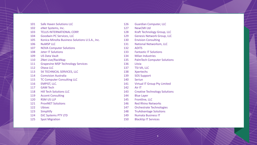| 101 | <b>Safe Haven Solutions LLC</b>                |
|-----|------------------------------------------------|
| 102 | eNet Systems, Inc.                             |
| 103 | <b>TELUS INTERNATIONAL CORP.</b>               |
| 104 | <b>Goodwin PC Services, LLC</b>                |
| 105 | Konica Minolta Business Solutions U.S.A., Inc. |
| 106 | <b>NUMSP LLC</b>                               |
| 107 | <b>NOVA Computer Solutions</b>                 |
| 108 | <b>Jeter IT Solutions</b>                      |
| 109 | <b>US Data Vault</b>                           |
| 110 | <b>ZNet Live/RackNap</b>                       |
| 111 | <b>Grapevine MSP Technology Services</b>       |
| 112 | Otava LLC                                      |
| 113 | <b>5K TECHNICAL SERVICES, LLC</b>              |
| 114 | <b>Comvision Australia</b>                     |
| 115 | <b>TC Computer Consulting LLC</b>              |
| 116 | <b>EMPIST, LLC.</b>                            |
| 117 | <b>GAM Tech</b>                                |
| 118 | <b>Hill Tech Solutions LLC</b>                 |
| 119 | <b>Accent Consulting</b>                       |
| 120 | <b>RSM US LLP</b>                              |
| 121 | <b>ProviNET Solutions</b>                      |
| 122 | <b>Ubisec</b>                                  |
| 123 | Simplitfy                                      |
| 124 | <b>DJC Systems PTY LTD</b>                     |
| 125 | <b>Spot Migration</b>                          |

| 126 | <b>Guardian Computer, LLC</b>        |
|-----|--------------------------------------|
| 127 | <b>NewCMI Ltd</b>                    |
| 128 | <b>Kraft Technology Group, LLC</b>   |
| 129 | <b>Genesis Network Group, LLC</b>    |
| 130 | <b>Envision Consulting</b>           |
| 131 | <b>National Networksm, LLC</b>       |
| 132 | <b>ADITS</b>                         |
| 133 | <b>Fantastic IT Solutions</b>        |
| 134 | <b>Milan Industries</b>              |
| 135 | <b>PalmTech Computer Solutions</b>   |
| 136 | Litzia                               |
| 137 | TSI-VA, LLC                          |
| 138 | <b>Xpertechs</b>                     |
| 139 | <b>SOS Support</b>                   |
| 140 | <b>Seriun</b>                        |
| 141 | <b>Virtual IT Group Pty Limited</b>  |
| 142 | Air IT                               |
| 143 | <b>Creative Technology Solutions</b> |
| 144 | <b>Blue Layer</b>                    |
| 145 | Frontline, LLC                       |
| 146 | <b>Red Rhino Networks</b>            |
| 147 | <b>Orchestrate Technologies</b>      |
| 148 | <b>TruAdvantage Solutions</b>        |
| 149 | <b>Numata Business IT</b>            |
| 150 | <b>Blacktip IT Services</b>          |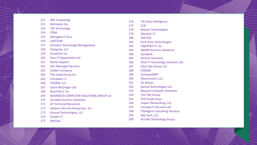| 151 | <b>NW Computing</b>                   |
|-----|---------------------------------------|
| 152 | Netropole Inc.                        |
| 153 | <b>CW Technology</b>                  |
| 154 | <b>ITRM</b>                           |
| 155 | <b>Managed IT Asia</b>                |
| 156 | <b>LANTIUM</b>                        |
| 157 | <b>ActiveCo Technology Management</b> |
| 158 | Dataprise, LLC                        |
| 159 | One2One Inc.                          |
| 160 | Your IT Department Ltd                |
| 161 | <b>Nerds Support</b>                  |
| 162 | <b>Star Managed Services</b>          |
| 163 | <b>Colden Company</b>                 |
| 164 | The Lloyd Group Inc.                  |
| 165 | Complete I.T.                         |
| 166 | <b>ITEGRIA, LLC</b>                   |
| 167 | <b>Grant McGregor Ltd</b>             |
| 168 | BoomTech, Inc                         |
| 169 | ADVANCED COMPUTER SOLUTIONS GROUP LLC |
| 170 | <b>Sensible Business Solutions</b>    |
| 171 | <b>AF Technical Resources</b>         |
| 172 | Systems Service Enterprises, Inc.     |
| 173 | <b>Ascend Technologies, LLC</b>       |
| 174 | <b>Charles IT</b>                     |
| 175 | <b>NetGain</b>                        |

TIG Data Intelligence

CCR

- Masser Technologies
- Wasatch I.T.
- 360 SOC
- Park Place Technologies
- 182 FlightPath IT, Inc.
- JMARK Business Solutions
- Synoptek
- Vertical Solutions
- 186 Total IT Technology Solutions Ltd
- 187 Clear Sky Group, LLC
- CISSDM
- CompassMSP
- AlasConnect, LLC.
- GC Brieau
- Sprout Technologies Ltd
- Beyond Computer Solutions
- The TNS Group
- The Purple Guys
- 196 Impact Networking, LLC
- 197 Concept IT Services Ltd.
- **ITtelligent Consulting Services**
- Nex -Tech, LLC
- 200 Accellis Technology Group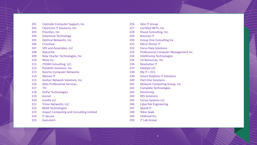- 201 Colorado Computer Support, Inc
- 202 ClearCom IT Solutions, Inc.
- ProviDyn, Inc.
- Greystone Technology
- Optimal Networks, Inc.
- Crossfuze
- SPK and Associates, LLC
- NexusTek
- New Charter Technologies, Inc
- Ntiva Inc.
- **iTEAM Consulting, LLC.**
- Pendello Solutions, Inc.
- Rancho Computer Networks
- Wessex IT
- Anchor Network Solutions, Inc.
- Atlas Professional Services
- TSI
- OnPar Technologies
- Amnet
- Involta LLC
- 221 Triton Networks, LLC
- BEAR Technologies
- Impact Computing and Consulting Limited
- IT Secure
- Executech
- 226 Velo IT Group
- Certified NETS, Inc.
- Rouse Consulting, Inc.
- Brennan IT
- Group One Consulting Inc
- Micro Doctor IT
- Focus Data Solutions
- Professional Computer Management Inc.
- IntelliComp Technologies
- US Resources, Inc.
- Resolution IT
- Datalyst LLC
- My IT + ECS
- Smart Dolphins IT Solutions
- Pact-One Solutions
- 241 Network Computing Group, Inc
- Complete Technologies
- PennComp
- **IRIS Solutions**
- Canoa Systems LLC
- CyberTek Engineering
- Xpand IT
- Tekie Geek
- USWired Inc.
- IT Lab Group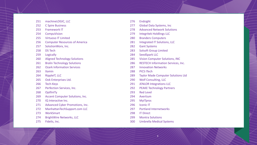| 251 | machineLOGIC, LLC                      |
|-----|----------------------------------------|
| 252 | <b>C Spire Business</b>                |
| 253 | <b>Framework IT</b>                    |
| 254 | <b>CompuVision</b>                     |
| 255 | <b>Virtuoso IT Limited</b>             |
| 256 | <b>Computer Resources of America</b>   |
| 257 | SolutionWorx, Inc.                     |
| 258 | <b>DS Tech</b>                         |
| 259 | Logically                              |
| 260 | <b>Aligned Technology Solutions</b>    |
| 261 | <b>Bralin Technology Solutions</b>     |
| 262 | <b>Ozark Information Services</b>      |
| 263 | Xamin                                  |
| 264 | RippleIT, LLC                          |
| 265 | Ook Enterprises Ltd.                   |
| 266 | <b>Tech-Keys</b>                       |
| 267 | Perfection Services, Inc.              |
| 268 | OptfinlTy                              |
| 269 | <b>Accent Computer Solutions, Inc.</b> |
| 270 | IQ Interactive Inc.                    |
| 271 | Advanced Cyber Promotions, Inc.        |
| 272 | ManhattanTechSupport.com LLC           |
| 273 | <b>WorkSmart</b>                       |
| 274 | <b>BrightWire Networks, LLC</b>        |

Fidelis, Inc.

- Endsight
- 277 Global Data Systems, Inc
- Advanced Network Solutions
- Integritek Holdlings LLC
- Branders Computers
- 281 Integrated IT Solutions, LLC
- Gant Systems
- Solsoft Group Limited
- SeedSpark LLC
- Vision Computer Solutions, INC
- RESTECH Information Services, Inc.
- Innovation Networks
- 288 PICS ITech
- Taylor Made Computer Solutions Ltd
- Wolf Consulting, LLC
- 291 JENLOR Integrations LLC
- PEAKE Technology Partners
- Red Level
- Avertium
- MyITpros
- Iconic IT
- Portland Internetworks
- IT Direct
- Montra Solutions
- Umbrella Medical Systems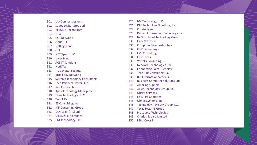- LANConnect Systems
- Sedoc Digital Group srl
- RESULTS Technology
- N -iX
- CSP Networks
- cloudIT, LLC
- NetLogix, Inc.
- GCI
- NET Xperts LLC
- Layer 9 Inc
- ACE IT Solutions
- NetEffect
- True Digital Security
- Broad Sky Networks
- Systems Technology Consultants
- Tech Partners Hawaii, Inc.
- Red Key Solutions
- Apex Technology Management
- Titan Technologies LLC
- Tech MD
- ES Consulting, Inc.
- MB Consulting Group
- LAN Logix (Pty) Ltd
- Maxwell IT Company
- I -M Technology, LLC
- I -M Technology, LLC
- DLC Technology Solutions, Inc.
- Coretelligent
- Debian Information Technology Inc.
- Be Structured Technology Group
- QOS Networks
- Computer Troubleshooters
- CBM Technology
- LMJ Consulting
- First Focus
- Verteks Consulting
- Network Technologies, Inc.
- Connecting Point Greeley
- Tech Plus Consulting LLC
- BPI Information Systems
- Business Computer Solutions Ltd
- Amazing Support
- Allied Technology Group LLC
- Uprite Services
- EZ Micro Solutions
- Olmec Systems, Inc
- Technology Advisory Group, LLC
- Texas Systems Group
- Prosource Technologies
- Charles Square Limited
- Nikki Crosslin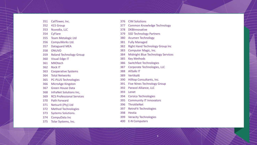|     | 351 CallTower, Inc.           |
|-----|-------------------------------|
| 352 | 415 Group                     |
| 353 | Nuvodia, LLC                  |
| 354 | <b>CyFlare</b>                |
| 355 | <b>Team Metalogic Ltd</b>     |
| 356 | CompuWorks Ltd.               |
| 357 | <b>Dataguard MEA</b>          |
| 358 | ONUVO                         |
|     | 359 Roland Technology Group   |
| 360 | <b>Visual Edge IT</b>         |
|     | 361 MXOtech                   |
|     | 362 Rock IT                   |
|     | 363 Cooperative Systems       |
| 364 | <b>Total Networks</b>         |
|     | 365 PC-PLUS Technologies      |
| 366 | MicroAge Kingston             |
| 367 | <b>Green House Data</b>       |
|     | 368 InfraNet Solutions Inc,   |
|     | 369 RCS Professional Services |
|     | 370 Path Forward              |
| 371 | Netsurit (Pty) Ltd            |
| 372 | <b>Method Technologies</b>    |
| 373 | <b>Systems Solutions.</b>     |
| 374 | <b>CompuData Inc</b>          |
|     |                               |

Tolar Systems, Inc.

- CIM Solutions
- Common Knowledge Technology
- DKBInnovative
- SSD Technology Partners
- Acumen Technology
- Fully Managed
- Right Hand Technology Group Inc
- Computer Magic, Inc.
- Midnight Blue Technology Services
- Key Methods
- Switchfast Technologies
- Corporate Technologies, LLC
- AllSafe IT
- Vertikal6
- Hilltop Consultants, Inc.
- Five Nines Technology Group
- Parasol Alliance, LLC
- Lenet
- Corsica Technologies
- Community IT Innovators
- ThrottleNet
- RetroFit Technologies
- Hestia
- Veracity Technologies
- E -N Computers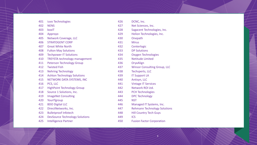| 401 | iuvo Technologies                     | 426 | DCNC, Inc.                          |
|-----|---------------------------------------|-----|-------------------------------------|
| 402 | <b>NENS</b>                           | 427 | Net Sciences, Inc.                  |
| 403 | boxlT                                 | 428 | Sagacent Technologies, Inc.         |
| 404 | Approyo                               | 429 | Helion Technologies, Inc.           |
| 405 | Network Coverage, LLC                 | 430 | Onepath                             |
| 406 | <b>STRATOGENT CORP</b>                | 431 | <b>Mirus</b>                        |
| 407 | <b>Great White North</b>              | 432 | Centerlogic                         |
| 408 | <b>Fulton May Solutions</b>           | 433 | <b>DP Solutions</b>                 |
| 409 | <b>Techpower IT Solutions</b>         | 434 | <b>Oxygen Technologies</b>          |
| 410 | <b>TREYSTA technology management</b>  | 435 | <b>Netitude Limited</b>             |
| 411 | <b>Peterson Technology Group</b>      | 436 | OryxAlign                           |
| 412 | <b>Twisted Fish</b>                   | 437 | <b>Winsor Consulting Group, LLC</b> |
| 413 | <b>Nehring Technology</b>             | 438 | <b>Techsperts, LLC</b>              |
| 414 | <b>Ashton Technology Solutions</b>    | 439 | <b>IT Support LA</b>                |
| 415 | NETWORK DATA SYSTEMS, INC             | 440 | Antisyn, LLC                        |
| 416 | PCS, LLC                              | 441 | <b>Vintage IT Services</b>          |
| 417 | <b>HighPoint Technology Group</b>     | 442 | Network ROI Ltd.                    |
| 418 | Source 1 Solutions, Inc.              | 443 | <b>PCH Technologies</b>             |
| 419 | <b>ImageNet Consulting</b>            | 444 | <b>DPC Technology</b>               |
| 420 | YourlTgroup                           | 445 | <b>NST</b>                          |
| 421 | <b>BDO Digital LLC</b>                | 446 | Managed IT Systems, Inc.            |
| 422 | DirectNetworks, Inc.                  | 447 | <b>Rehmann Technology Solutions</b> |
| 423 | <b>Bulletproof Infotech</b>           | 448 | <b>Hill Country Tech Guys</b>       |
| 424 | <b>DevSource Technology Solutions</b> | 449 | <b>ICS</b>                          |
| 425 | <b>Intelligence Partner</b>           | 450 | <b>Fusion Factor Corporation</b>    |
|     |                                       |     |                                     |